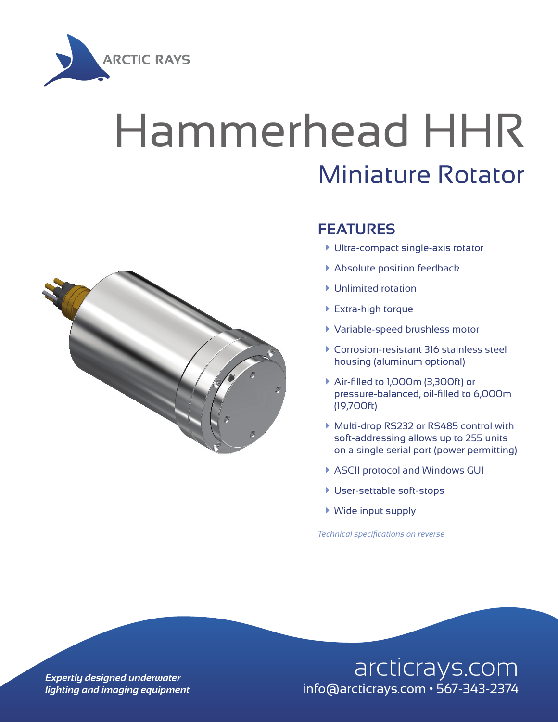

## Hammerhead HHR Miniature Rotator



## **FEATURES**

- $\blacktriangleright$  Ultra-compact single-axis rotator
- **Absolute position feedback**
- $\blacktriangleright$  Unlimited rotation
- ▶ Extra-high torque
- à Variable-speed brushless motor
- à Corrosion-resistant 316 stainless steel housing (aluminum optional)
- à Air-filled to 1,000m (3,300ft) or pressure-balanced, oil-filled to 6,000m (19,700ft)
- ▶ Multi-drop RS232 or RS485 control with soft-addressing allows up to 255 units on a single serial port (power permitting)
- ▶ ASCII protocol and Windows GUI
- **User-settable soft-stops**
- $\blacktriangleright$  Wide input supply

*Technical specifications on reverse*

## **Expertly designed underwater** and arcticrays.com *lighting and imaging equipment* info@arcticrays.com • 567-343-2374